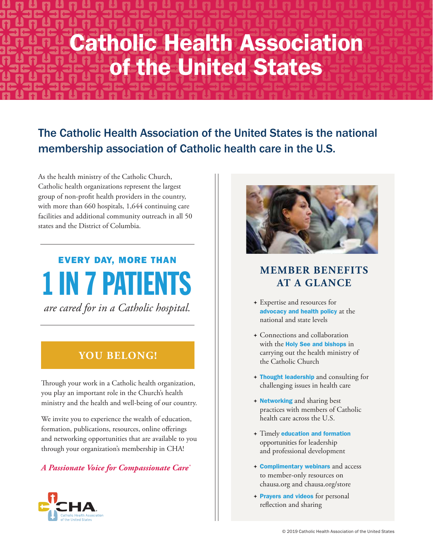# Catholic Health Association of the United States

## The Catholic Health Association of the United States is the national membership association of Catholic health care in the U.S.

As the health ministry of the Catholic Church, Catholic health organizations represent the largest group of non-profit health providers in the country, with more than 660 hospitals, 1,644 continuing care facilities and additional community outreach in all 50 states and the District of Columbia.

# EVERY DAY, MORE THAN 1 IN 7 PATIENTS *are cared for in a Catholic hospital.*

## **YOU BELONG!**

Through your work in a Catholic health organization, you play an important role in the Church's health ministry and the health and well-being of our country.

We invite you to experience the wealth of education, formation, publications, resources, online offerings and networking opportunities that are available to you through your organization's membership in CHA!

### *A Passionate Voice for Compassionate Care®*





## **MEMBER BENEFITS AT A GLANCE**

- vExpertise and resources for advocacy and health policy at the national and state levels
- vConnections and collaboration with the **Holy See and bishops** in carrying out the health ministry of the Catholic Church
- vThought leadership and consulting for challenging issues in health care
- **+ Networking and sharing best** practices with members of Catholic health care across the U.S.
- vTimely education and formation opportunities for leadership and professional development
- vComplimentary webinars and access to member-only resources on chausa.org and chausa.org/store
- + Prayers and videos for personal reflection and sharing